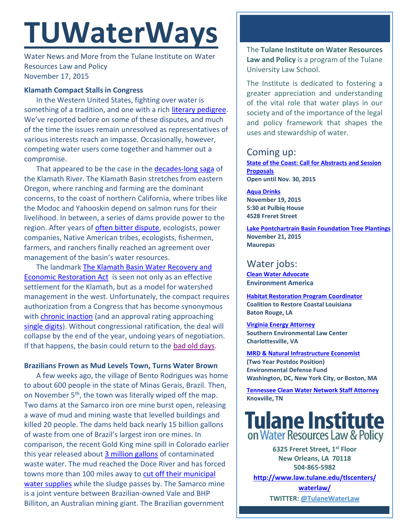# **TUWaterWays**

Water News and More from the Tulane Institute on Water Resources Law and Policy November 17, 2015

# **Klamath Compact Stalls in Congress**

In the Western United States, fighting over water is something of a tradition, and one with a rich [literary pedigree.](http://sciencevibe.com/wp-content/uploads/2015/06/MarKTwain-Whiskey.jpg) We've reported before on some of these disputes, and much of the time the issues remain unresolved as representatives of various interests reach an impasse. Occasionally, however, competing water users come together and hammer out a compromise.

That appeared to be the case in the [decades-long saga](http://community.seattletimes.nwsource.com/archive/?date=19961201&slug=2362598) of the Klamath River. The Klamath Basin stretches from eastern Oregon, where ranching and farming are the dominant concerns, to the coast of northern California, where tribes like the Modoc and Yahooskin depend on salmon runs for their livelihood. In between, a series of dams provide power to the region. After years of often [bitter dispute,](http://community.seattletimes.nwsource.com/archive/?date=19961201&slug=2362598) ecologists, power companies, Native American tribes, ecologists, fishermen, farmers, and ranchers finally reached an agreement over management of the basin's water resources.

The landmark The Klamath Basin [Water Recovery and](https://www.congress.gov/bill/114th-congress/senate-bill/133)  [Economic Restoration Act](https://www.congress.gov/bill/114th-congress/senate-bill/133) is seen not only as an effective settlement for the Klamath, but as a model for watershed management in the west. Unfortunately, the compact requires authorization from a Congress that has become synonymous with [chronic inaction](http://www.huffingtonpost.com/2015/04/29/daily-show-fuco_n_7170364.html) (and an approval rating approaching [single digits\)](http://www.cbsnews.com/news/poll-congress-approval-rating-drops-to-11-percent/). Without congressional ratification, the deal will collapse by the end of the year, undoing years of negotiation. If that happens, the basin could return to the [bad old days.](http://www.youtube.com/watch?v=AAEJedBQk7s&t=0m34s)

## **Brazilians Frown as Mud Levels Town, Turns Water Brown**

A few weeks ago, the village of Bento Rodrigues was home to about 600 people in the state of Minas Gerais, Brazil. Then, on November 5<sup>th</sup>, the town was literally wiped off the map. Two dams at the Samarco iron ore mine burst open, releasing a wave of mud and mining waste that levelled buildings and killed 20 people. The dams held back nearly 15 billion gallons of waste from one of Brazil's largest iron ore mines. In comparison, the recent Gold King mine spill in Colorado earlier this year released about [3 million gallons](http://www2.epa.gov/goldkingmine) of contaminated waste water. The mud reached the Doce River and has forced towns more than 100 miles away to [cut off their municipal](http://www.reuters.com/article/2015/11/09/us-brazil-damburst-idUSKCN0SY1Y920151109#xeVOV4UmGRzCEltU.97)  [water supplies](http://www.reuters.com/article/2015/11/09/us-brazil-damburst-idUSKCN0SY1Y920151109#xeVOV4UmGRzCEltU.97) while the sludge passes by. The Samarco mine is a joint venture between Brazilian-owned Vale and BHP Billiton, an Australian mining giant. The Brazilian government

The **Tulane Institute on Water Resources Law and Policy** is a program of the Tulane University Law School.

The Institute is dedicated to fostering a greater appreciation and understanding of the vital role that water plays in our society and of the importance of the legal and policy framework that shapes the uses and stewardship of water.

# Coming up:

**[State](https://www.google.com/maps/place/Belle+Chasse+Auditorium/@29.853709,-89.9861428,15z/data=!4m2!3m1!1s0x0:0x23d3a90cbaa61491) of the Coast: Call for Abstracts and Session Proposals Open until Nov. 30, 2015**

**[Aqua Drinks](http://nolawater.org/wp-content/uploads/2015/10/Aqua-Drinks-RED.pdf) November 19, 2015 5:30 at Pulbiq House 4528 Freret Street**

**[Lake Pontchartrain Basin Foundation Tree Plantings](http://www.saveourlake.org/) November 21, 2015 Maurepas**

# Water jobs:

**[Clean Water Advocate](http://jobs.environmentamerica.org/clean-water-advocate.html) Environment America** 

**[Habitat Restoration Program Coordinator](http://crcl.org/about-us/employment-opportunities-menu.html) Coalition to Restore Coastal Louisiana Baton Rouge, LA**

**[Virginia Energy Attorney](http://50.87.248.195/~vcnvaorg/?p=346) Southern Environmental Law Center Charlottesville, VA**

**[MRD & Natural Infrastructure Economist](https://www.edf.org/jobs/mississippi-river-delta-and-natural-infrastructure-economist-2-year-post-doctoral-position) (Two Year Postdoc Position) Environmental Defense Fund Washington, DC, New York City, or Boston, MA**

**[Tennessee Clean Water Network Staff Attorney](http://www.tcwn.org/job-opening-staff-attorney/) Knoxville, TN**

# **Tulane Institute** on Water Resources Law & Policy

**6325 Freret Street, 1st Floor New Orleans, LA 70118 504-865-5982** 

**[http://www.law.tulane.edu/tlscenters/](http://www.law.tulane.edu/tlscenters/waterlaw/)**

**[waterlaw/](http://www.law.tulane.edu/tlscenters/waterlaw/) TWITTER: [@TulaneWaterLaw](http://www.twitter.com/TulaneWaterLaw)**